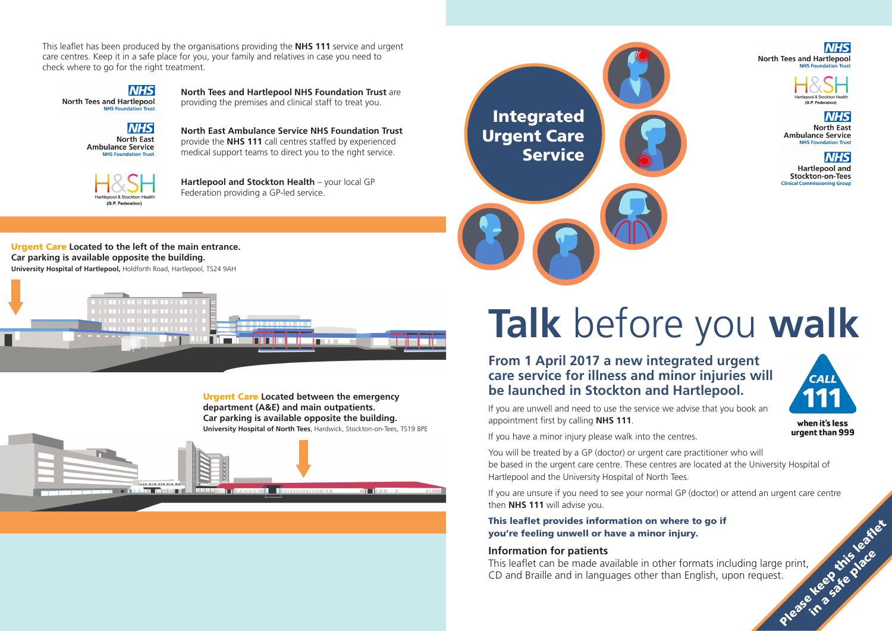## **From 1 April 2017 a new integrated urgent care service for illness and minor injuries will be launched in Stockton and Hartlepool.**

If you are unwell and need to use the service we advise that you book an appointment first by calling **NHS 111**.

If you have a minor injury please walk into the centres.

This leaflet can be made available in other formats including large print, This leaflet provides information on where to go if<br>you're feeling unwell or have a minor injury.<br>Information for patients<br>This leaflet can be made available in other formats including large print,<br>CD and Braille and in l in a safe place

**NHS North Tees and Hartlepool** 



**NHS North East Ambulance Service NIJC Foundation True** 

**NHS Hartlepool and** Stockton-on-Tees **Clinical Commiss** 





when it's less urgent than 999

You will be treated by a GP (doctor) or urgent care practitioner who will be based in the urgent care centre. These centres are located at the University Hospital of Hartlepool and the University Hospital of North Tees.

If you are unsure if you need to see your normal GP (doctor) or attend an urgent care centre then **NHS 111** will advise you.

#### This leaflet provides information on where to go if you're feeling unwell or have a minor injury.

#### **Information for patients**

**Hartlepool and Stockton Health** – your local GP Federation providing a GP-led service.

# **Talk** before you **walk**

This leaflet has been produced by the organisations providing the **NHS 111** service and urgent care centres. Keep it in a safe place for you, your family and relatives in case you need to check where to go for the right treatment.

**NHS North Tees and Hartlepool** 





**North Tees and Hartlepool NHS Foundation Trust** are providing the premises and clinical staff to treat you.

**North East Ambulance Service NHS Foundation Trust** provide the **NHS 111** call centres staffed by experienced medical support teams to direct you to the right service.

#### Urgent Care **Located to the left of the main entrance. Car parking is available opposite the building. University Hospital of Hartlepool,** Holdforth Road, Hartlepool, TS24 9AH



Urgent Care **Located between the emergency department (A&E) and main outpatients. Car parking is available opposite the building. University Hospital of North Tees**, Hardwick, Stockton-on-Tees, TS19 8PE



# Integrated Urgent Care **Service**